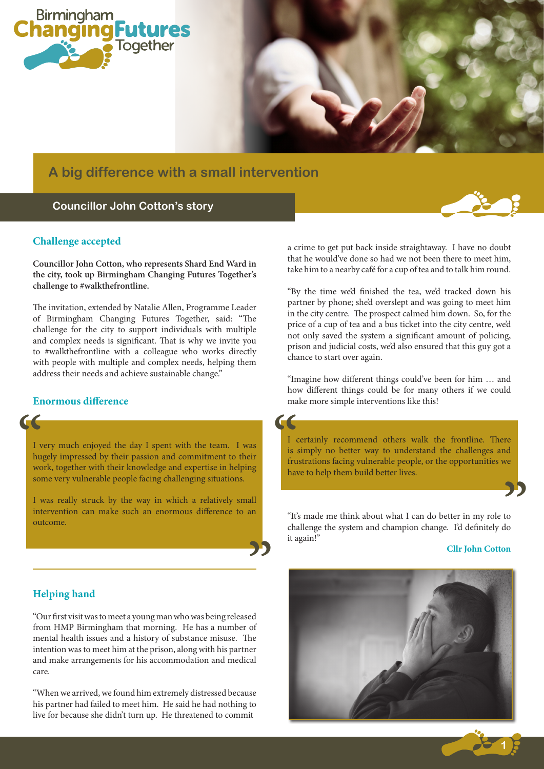

# **A big difference with a small intervention**

## **Councillor John Cotton's story**

#### **Challenge accepted**

**Councillor John Cotton, who represents Shard End Ward in the city, took up Birmingham Changing Futures Together's challenge to #walkthefrontline.**

The invitation, extended by Natalie Allen, Programme Leader of Birmingham Changing Futures Together, said: "The challenge for the city to support individuals with multiple and complex needs is significant. That is why we invite you to #walkthefrontline with a colleague who works directly with people with multiple and complex needs, helping them address their needs and achieve sustainable change."

#### **Enormous difference**

I very much enjoyed the day I spent with the team. I was<br>
I very much enjoyed the day I spent with the team. I was<br>
work, together with their knowledge and expertise in helping<br>
some very vulnerable people focing challengi I very much enjoyed the day I spent with the team. I was hugely impressed by their passion and commitment to their some very vulnerable people facing challenging situations.

տ<br>**22** I was really struck by the way in which a relatively small intervention can make such an enormous difference to an outcome.

a crime to get put back inside straightaway. I have no doubt that he would've done so had we not been there to meet him, take him to a nearby café for a cup of tea and to talk him round.

"By the time we'd finished the tea, we'd tracked down his partner by phone; she'd overslept and was going to meet him in the city centre. The prospect calmed him down. So, for the price of a cup of tea and a bus ticket into the city centre, we'd not only saved the system a significant amount of policing, prison and judicial costs, we'd also ensured that this guy got a chance to start over again.

"Imagine how different things could've been for him … and how different things could be for many others if we could make more simple interventions like this!

 $\frac{1}{10}$ <br>  $\frac{1}{2}$ I certainly recommend others walk the frontline. There is simply no better way to understand the challenges and frustrations facing vulnerable people, or the opportunities we have to help them build better lives.

"It's made me think about what I can do better in my role to challenge the system and champion change. I'd definitely do it again!"

#### **Cllr John Cotton**

**1**



### **Helping hand**

"Our first visit was to meet a young man who was being released from HMP Birmingham that morning. He has a number of mental health issues and a history of substance misuse. The intention was to meet him at the prison, along with his partner and make arrangements for his accommodation and medical care.

"When we arrived, we found him extremely distressed because his partner had failed to meet him. He said he had nothing to live for because she didn't turn up. He threatened to commit